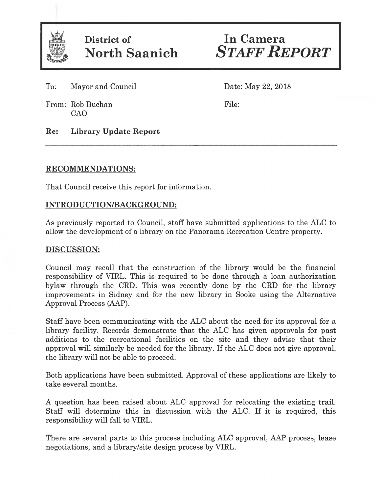

District of **In Camera** 

North Saanich STAFF REPORT

To: Mayor and Council Date: May 22, 2018

From: Rob Buchan File: CAO

Re: Library Update Report

## RECOMMENDATIONS:

That Council receive this repor<sup>t</sup> for information.

# INTRODUCTION/BACKGROUND:

As previously reported to Council, staff have submitted applications to the ALC to allow the development of <sup>a</sup> library on the Panorama Recreation Centre property.

## DISCUSSION:

Council may recall that the construction of the library would be the financial responsibility of VIRL. This is required to be done through <sup>a</sup> loan authorization bylaw through the CRD. This was recently done by the CRD for the library improvements in Sidney and for the new library in Sooke using the Alternative Approval Process (AAP).

Staff have been communicating with the ALC about the need for its approval for <sup>a</sup> library facility. Records demonstrate that the ALC has given approvals for pas<sup>t</sup> additions to the recreational facilities on the site and they advise that their approval will similarly be needed for the library. If the ALC does not give approval, the library will not be able to proceed.

Both applications have been submitted. Approval of these applications are likely to take several months.

A question has been raised about ALC approval for relocating the existing trail. Staff will determine this in discussion with the ALC. If it is required, this responsibility will fall to VIRL.

There are several parts to this process including ALC approval, AAP process, lease negotiations, and <sup>a</sup> library/site design process by VIRL.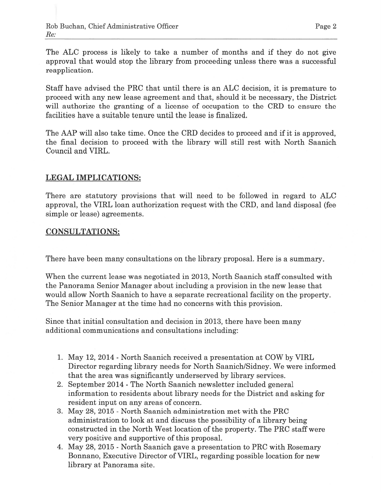The ALC process is likely to take <sup>a</sup> number of months and if they do not give approval that would stop the library from proceeding unless there was <sup>a</sup> successful reapplication.

Staff have advised the PRC that until there is an ALC decision, it is premature to proceed with any new lease agreemen<sup>t</sup> and that, should it be necessary, the District will authorize the granting of <sup>a</sup> license of occupation to the CRD to ensure the facilities have <sup>a</sup> suitable tenure until the lease is finalized.

The AAP will also take time. Once the CRD decides to proceed and if it is approved, the final decision to proceed with the library will still rest with North Saanich Council and VIRL.

## LEGAL IMPLICATIONS:

There are statutory provisions that will need to be followed in regard to ALC approval, the VIRL loan authorization reques<sup>t</sup> with the CRD, and land disposal (fee simple or lease) agreements.

## CONSULTATIONS:

There have been many consultations on the library proposal. Here is <sup>a</sup> summary.

When the current lease was negotiated in 2013, North Saanich staff consulted with the Panorama Senior Manager about including <sup>a</sup> provision in the new lease that would allow North Saanich to have <sup>a</sup> separate recreational facility on the property. The Senior Manager at the time had no concerns with this provision.

Since that initial consultation and decision in 2013, there have been many additional communications and consultations including:

- 1. May 12, 2014 North Saanich received <sup>a</sup> presentation at COW by VIRL Director regarding library needs for North Saanich/Sidney. We were informed that the area was significantly underserved by library services.
- 2. September 2014 The North Saanich newsletter included general information to residents about library needs for the District and asking for resident input on any areas of concern.
- 3. May 28, 2015 North Saanich administration met with the PRC administration to look at and discuss the possibility of <sup>a</sup> library being constructed in the North West location of the property. The PRC staff were very positive and supportive of this proposal.
- 4. May 28, 2015 North Saanich gave <sup>a</sup> presentation to PRC with Rosemary Bonnano, Executive Director of VIRL, regarding possible location for new library at Panorama site.